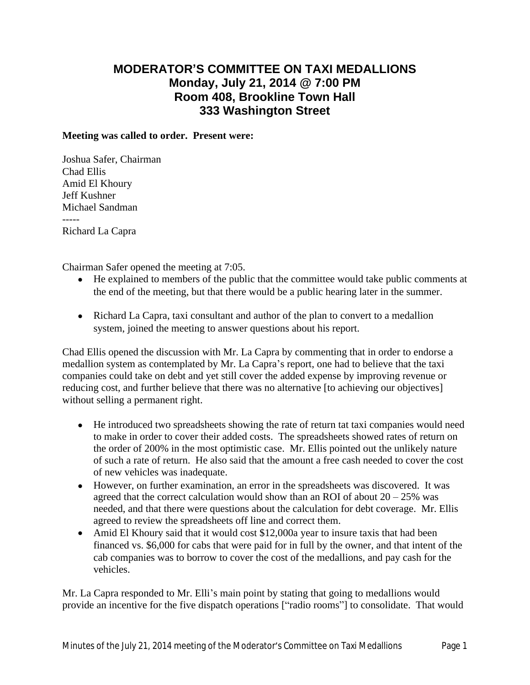## **MODERATOR'S COMMITTEE ON TAXI MEDALLIONS Monday, July 21, 2014 @ 7:00 PM Room 408, Brookline Town Hall 333 Washington Street**

## **Meeting was called to order. Present were:**

Joshua Safer, Chairman Chad Ellis Amid El Khoury Jeff Kushner Michael Sandman ----- Richard La Capra

Chairman Safer opened the meeting at 7:05.

- He explained to members of the public that the committee would take public comments at the end of the meeting, but that there would be a public hearing later in the summer.
- Richard La Capra, taxi consultant and author of the plan to convert to a medallion system, joined the meeting to answer questions about his report.

Chad Ellis opened the discussion with Mr. La Capra by commenting that in order to endorse a medallion system as contemplated by Mr. La Capra's report, one had to believe that the taxi companies could take on debt and yet still cover the added expense by improving revenue or reducing cost, and further believe that there was no alternative [to achieving our objectives] without selling a permanent right.

- He introduced two spreadsheets showing the rate of return tat taxi companies would need to make in order to cover their added costs. The spreadsheets showed rates of return on the order of 200% in the most optimistic case. Mr. Ellis pointed out the unlikely nature of such a rate of return. He also said that the amount a free cash needed to cover the cost of new vehicles was inadequate.
- However, on further examination, an error in the spreadsheets was discovered. It was agreed that the correct calculation would show than an ROI of about  $20 - 25\%$  was needed, and that there were questions about the calculation for debt coverage. Mr. Ellis agreed to review the spreadsheets off line and correct them.
- Amid El Khoury said that it would cost \$12,000a year to insure taxis that had been financed vs. \$6,000 for cabs that were paid for in full by the owner, and that intent of the cab companies was to borrow to cover the cost of the medallions, and pay cash for the vehicles.

Mr. La Capra responded to Mr. Elli's main point by stating that going to medallions would provide an incentive for the five dispatch operations ["radio rooms"] to consolidate. That would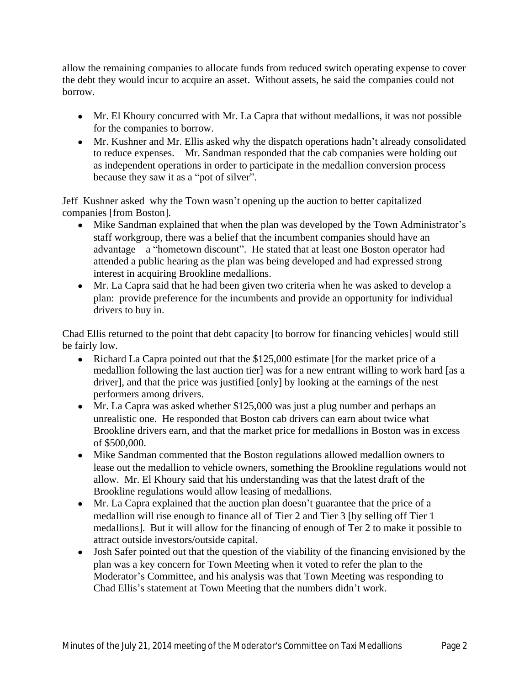allow the remaining companies to allocate funds from reduced switch operating expense to cover the debt they would incur to acquire an asset. Without assets, he said the companies could not borrow.

- Mr. El Khoury concurred with Mr. La Capra that without medallions, it was not possible for the companies to borrow.
- Mr. Kushner and Mr. Ellis asked why the dispatch operations hadn't already consolidated to reduce expenses. Mr. Sandman responded that the cab companies were holding out as independent operations in order to participate in the medallion conversion process because they saw it as a "pot of silver".

Jeff Kushner asked why the Town wasn't opening up the auction to better capitalized companies [from Boston].

- Mike Sandman explained that when the plan was developed by the Town Administrator's staff workgroup, there was a belief that the incumbent companies should have an advantage – a "hometown discount". He stated that at least one Boston operator had attended a public hearing as the plan was being developed and had expressed strong interest in acquiring Brookline medallions.
- Mr. La Capra said that he had been given two criteria when he was asked to develop a plan: provide preference for the incumbents and provide an opportunity for individual drivers to buy in.

Chad Ellis returned to the point that debt capacity [to borrow for financing vehicles] would still be fairly low.

- Richard La Capra pointed out that the \$125,000 estimate [for the market price of a medallion following the last auction tier] was for a new entrant willing to work hard [as a driver], and that the price was justified [only] by looking at the earnings of the nest performers among drivers.
- Mr. La Capra was asked whether \$125,000 was just a plug number and perhaps an unrealistic one. He responded that Boston cab drivers can earn about twice what Brookline drivers earn, and that the market price for medallions in Boston was in excess of \$500,000.
- Mike Sandman commented that the Boston regulations allowed medallion owners to lease out the medallion to vehicle owners, something the Brookline regulations would not allow. Mr. El Khoury said that his understanding was that the latest draft of the Brookline regulations would allow leasing of medallions.
- Mr. La Capra explained that the auction plan doesn't guarantee that the price of a medallion will rise enough to finance all of Tier 2 and Tier 3 [by selling off Tier 1 medallions]. But it will allow for the financing of enough of Ter 2 to make it possible to attract outside investors/outside capital.
- Josh Safer pointed out that the question of the viability of the financing envisioned by the plan was a key concern for Town Meeting when it voted to refer the plan to the Moderator's Committee, and his analysis was that Town Meeting was responding to Chad Ellis's statement at Town Meeting that the numbers didn't work.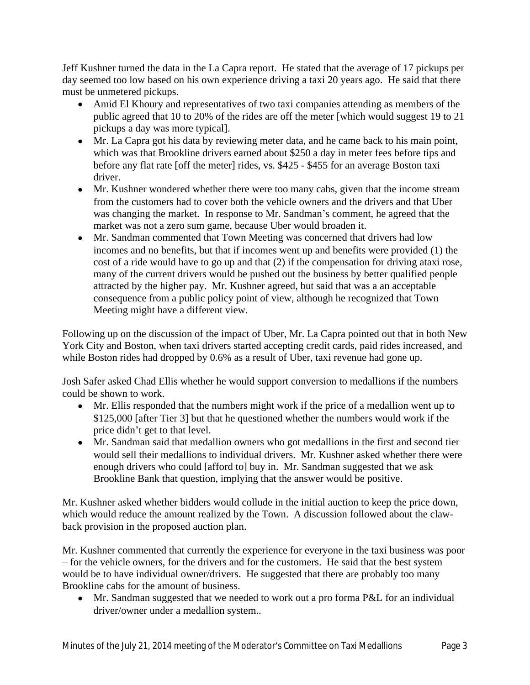Jeff Kushner turned the data in the La Capra report. He stated that the average of 17 pickups per day seemed too low based on his own experience driving a taxi 20 years ago. He said that there must be unmetered pickups.

- Amid El Khoury and representatives of two taxi companies attending as members of the public agreed that 10 to 20% of the rides are off the meter [which would suggest 19 to 21 pickups a day was more typical].
- Mr. La Capra got his data by reviewing meter data, and he came back to his main point, which was that Brookline drivers earned about \$250 a day in meter fees before tips and before any flat rate [off the meter] rides, vs. \$425 - \$455 for an average Boston taxi driver.
- Mr. Kushner wondered whether there were too many cabs, given that the income stream from the customers had to cover both the vehicle owners and the drivers and that Uber was changing the market. In response to Mr. Sandman's comment, he agreed that the market was not a zero sum game, because Uber would broaden it.
- Mr. Sandman commented that Town Meeting was concerned that drivers had low incomes and no benefits, but that if incomes went up and benefits were provided (1) the cost of a ride would have to go up and that (2) if the compensation for driving ataxi rose, many of the current drivers would be pushed out the business by better qualified people attracted by the higher pay. Mr. Kushner agreed, but said that was a an acceptable consequence from a public policy point of view, although he recognized that Town Meeting might have a different view.

Following up on the discussion of the impact of Uber, Mr. La Capra pointed out that in both New York City and Boston, when taxi drivers started accepting credit cards, paid rides increased, and while Boston rides had dropped by 0.6% as a result of Uber, taxi revenue had gone up.

Josh Safer asked Chad Ellis whether he would support conversion to medallions if the numbers could be shown to work.

- Mr. Ellis responded that the numbers might work if the price of a medallion went up to \$125,000 [after Tier 3] but that he questioned whether the numbers would work if the price didn't get to that level.
- Mr. Sandman said that medallion owners who got medallions in the first and second tier would sell their medallions to individual drivers. Mr. Kushner asked whether there were enough drivers who could [afford to] buy in. Mr. Sandman suggested that we ask Brookline Bank that question, implying that the answer would be positive.

Mr. Kushner asked whether bidders would collude in the initial auction to keep the price down, which would reduce the amount realized by the Town. A discussion followed about the clawback provision in the proposed auction plan.

Mr. Kushner commented that currently the experience for everyone in the taxi business was poor – for the vehicle owners, for the drivers and for the customers. He said that the best system would be to have individual owner/drivers. He suggested that there are probably too many Brookline cabs for the amount of business.

• Mr. Sandman suggested that we needed to work out a pro forma P&L for an individual driver/owner under a medallion system..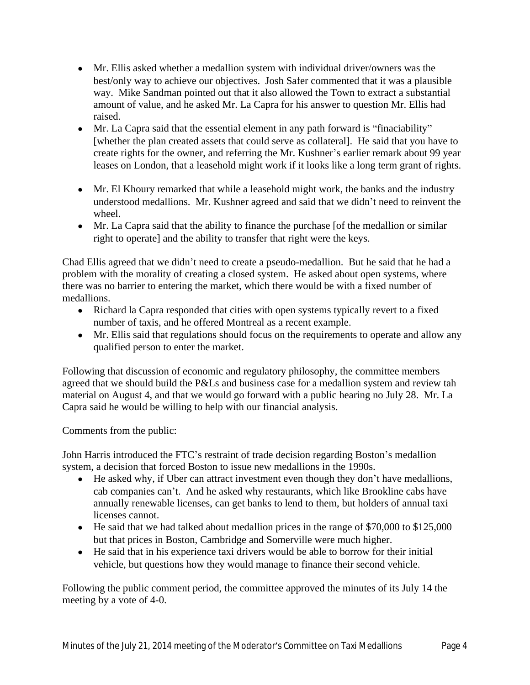- Mr. Ellis asked whether a medallion system with individual driver/owners was the best/only way to achieve our objectives. Josh Safer commented that it was a plausible way. Mike Sandman pointed out that it also allowed the Town to extract a substantial amount of value, and he asked Mr. La Capra for his answer to question Mr. Ellis had raised.
- Mr. La Capra said that the essential element in any path forward is "finaciability" [whether the plan created assets that could serve as collateral]. He said that you have to create rights for the owner, and referring the Mr. Kushner's earlier remark about 99 year leases on London, that a leasehold might work if it looks like a long term grant of rights.
- Mr. El Khoury remarked that while a leasehold might work, the banks and the industry understood medallions. Mr. Kushner agreed and said that we didn't need to reinvent the wheel.
- Mr. La Capra said that the ability to finance the purchase [of the medallion or similar right to operate] and the ability to transfer that right were the keys.

Chad Ellis agreed that we didn't need to create a pseudo-medallion. But he said that he had a problem with the morality of creating a closed system. He asked about open systems, where there was no barrier to entering the market, which there would be with a fixed number of medallions.

- Richard la Capra responded that cities with open systems typically revert to a fixed number of taxis, and he offered Montreal as a recent example.
- Mr. Ellis said that regulations should focus on the requirements to operate and allow any qualified person to enter the market.

Following that discussion of economic and regulatory philosophy, the committee members agreed that we should build the P&Ls and business case for a medallion system and review tah material on August 4, and that we would go forward with a public hearing no July 28. Mr. La Capra said he would be willing to help with our financial analysis.

Comments from the public:

John Harris introduced the FTC's restraint of trade decision regarding Boston's medallion system, a decision that forced Boston to issue new medallions in the 1990s.

- He asked why, if Uber can attract investment even though they don't have medallions, cab companies can't. And he asked why restaurants, which like Brookline cabs have annually renewable licenses, can get banks to lend to them, but holders of annual taxi licenses cannot.
- He said that we had talked about medallion prices in the range of \$70,000 to \$125,000 but that prices in Boston, Cambridge and Somerville were much higher.
- He said that in his experience taxi drivers would be able to borrow for their initial vehicle, but questions how they would manage to finance their second vehicle.

Following the public comment period, the committee approved the minutes of its July 14 the meeting by a vote of 4-0.